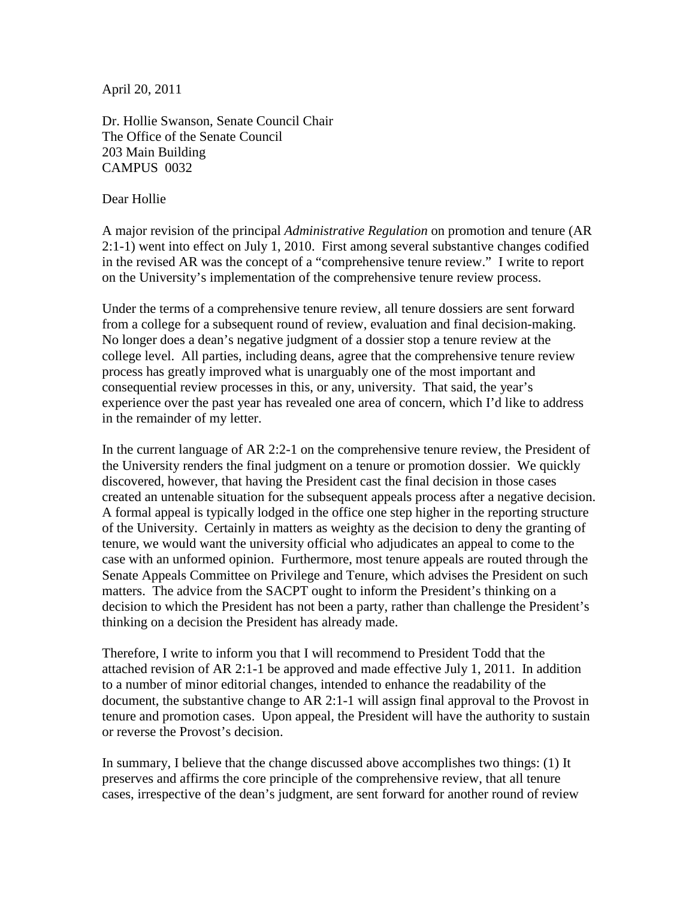April 20, 2011

Dr. Hollie Swanson, Senate Council Chair The Office of the Senate Council 203 Main Building CAMPUS 0032

#### Dear Hollie

A major revision of the principal *Administrative Regulation* on promotion and tenure (AR 2:1-1) went into effect on July 1, 2010. First among several substantive changes codified in the revised AR was the concept of a "comprehensive tenure review." I write to report on the University's implementation of the comprehensive tenure review process.

Under the terms of a comprehensive tenure review, all tenure dossiers are sent forward from a college for a subsequent round of review, evaluation and final decision-making. No longer does a dean's negative judgment of a dossier stop a tenure review at the college level. All parties, including deans, agree that the comprehensive tenure review process has greatly improved what is unarguably one of the most important and consequential review processes in this, or any, university. That said, the year's experience over the past year has revealed one area of concern, which I'd like to address in the remainder of my letter.

In the current language of AR 2:2-1 on the comprehensive tenure review, the President of the University renders the final judgment on a tenure or promotion dossier. We quickly discovered, however, that having the President cast the final decision in those cases created an untenable situation for the subsequent appeals process after a negative decision. A formal appeal is typically lodged in the office one step higher in the reporting structure of the University. Certainly in matters as weighty as the decision to deny the granting of tenure, we would want the university official who adjudicates an appeal to come to the case with an unformed opinion. Furthermore, most tenure appeals are routed through the Senate Appeals Committee on Privilege and Tenure, which advises the President on such matters. The advice from the SACPT ought to inform the President's thinking on a decision to which the President has not been a party, rather than challenge the President's thinking on a decision the President has already made.

Therefore, I write to inform you that I will recommend to President Todd that the attached revision of AR 2:1-1 be approved and made effective July 1, 2011. In addition to a number of minor editorial changes, intended to enhance the readability of the document, the substantive change to AR 2:1-1 will assign final approval to the Provost in tenure and promotion cases. Upon appeal, the President will have the authority to sustain or reverse the Provost's decision.

In summary, I believe that the change discussed above accomplishes two things: (1) It preserves and affirms the core principle of the comprehensive review, that all tenure cases, irrespective of the dean's judgment, are sent forward for another round of review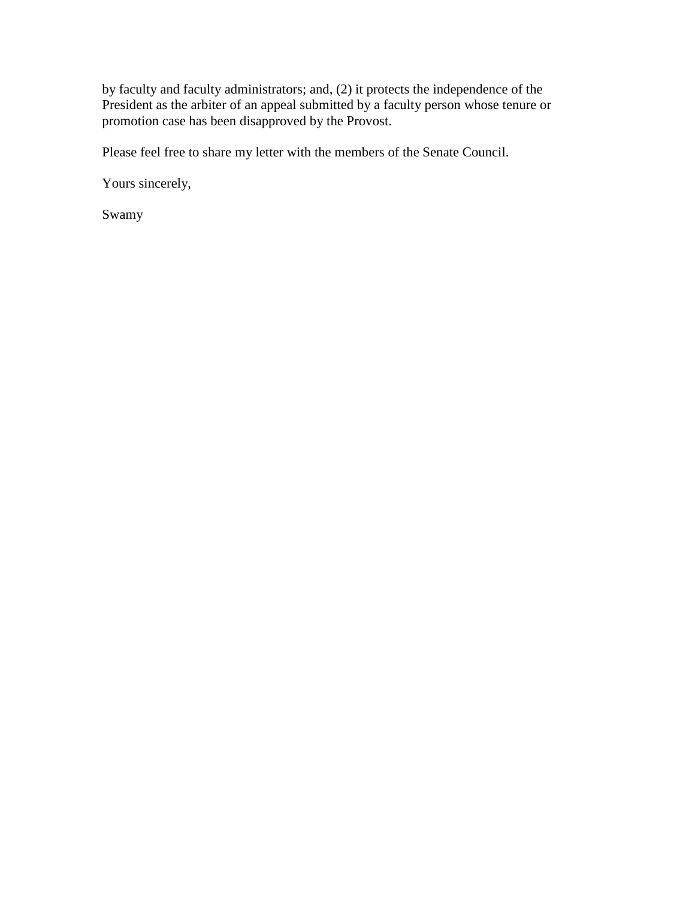by faculty and faculty administrators; and, (2) it protects the independence of the President as the arbiter of an appeal submitted by a faculty person whose tenure or promotion case has been disapproved by the Provost.

Please feel free to share my letter with the members of the Senate Council.

Yours sincerely,

Swamy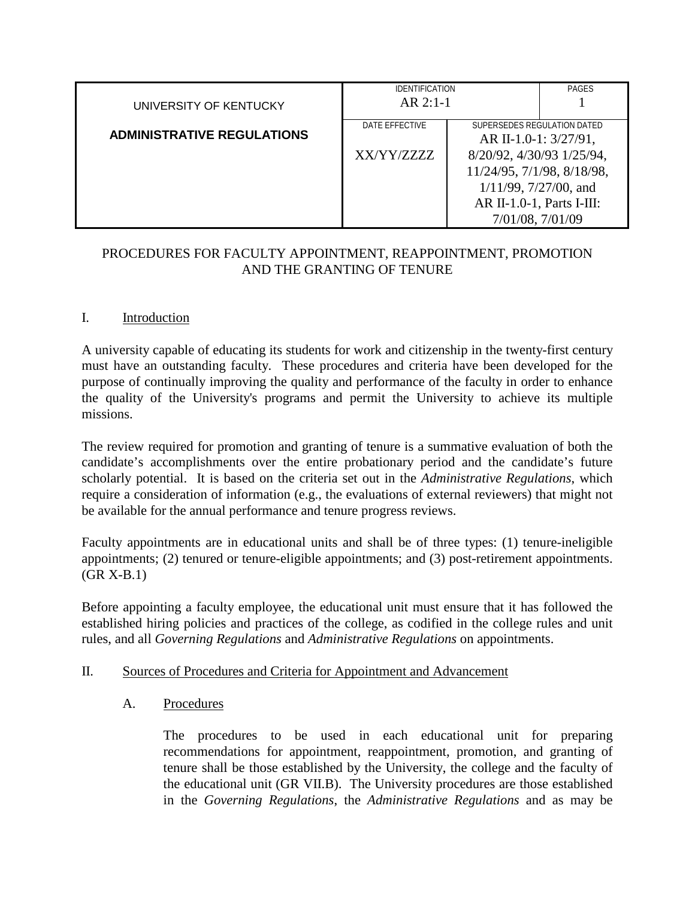|                                   | <b>IDENTIFICATION</b>      |                                                      | <b>PAGES</b> |
|-----------------------------------|----------------------------|------------------------------------------------------|--------------|
| UNIVERSITY OF KENTUCKY            | $AR$ 2:1-1                 |                                                      |              |
| <b>ADMINISTRATIVE REGULATIONS</b> | DATE EFFECTIVE             | SUPERSEDES REGULATION DATED<br>AR II-1.0-1: 3/27/91, |              |
|                                   | XX/YY/ZZZZ                 | 8/20/92, 4/30/93 1/25/94,                            |              |
|                                   | 11/24/95, 7/1/98, 8/18/98, |                                                      |              |
|                                   |                            | $1/11/99$ , $7/27/00$ , and                          |              |
|                                   |                            | AR II-1.0-1, Parts I-III:                            |              |
|                                   |                            | 7/01/08, 7/01/09                                     |              |

## PROCEDURES FOR FACULTY APPOINTMENT, REAPPOINTMENT, PROMOTION AND THE GRANTING OF TENURE

## I. Introduction

A university capable of educating its students for work and citizenship in the twenty-first century must have an outstanding faculty. These procedures and criteria have been developed for the purpose of continually improving the quality and performance of the faculty in order to enhance the quality of the University's programs and permit the University to achieve its multiple missions.

The review required for promotion and granting of tenure is a summative evaluation of both the candidate's accomplishments over the entire probationary period and the candidate's future scholarly potential. It is based on the criteria set out in the *Administrative Regulations*, which require a consideration of information (e.g., the evaluations of external reviewers) that might not be available for the annual performance and tenure progress reviews.

Faculty appointments are in educational units and shall be of three types: (1) tenure-ineligible appointments; (2) tenured or tenure-eligible appointments; and (3) post-retirement appointments. (GR X-B.1)

Before appointing a faculty employee, the educational unit must ensure that it has followed the established hiring policies and practices of the college, as codified in the college rules and unit rules, and all *Governing Regulations* and *Administrative Regulations* on appointments.

## II. Sources of Procedures and Criteria for Appointment and Advancement

## A. Procedures

The procedures to be used in each educational unit for preparing recommendations for appointment, reappointment, promotion, and granting of tenure shall be those established by the University, the college and the faculty of the educational unit (GR VII.B). The University procedures are those established in the *Governing Regulations*, the *Administrative Regulations* and as may be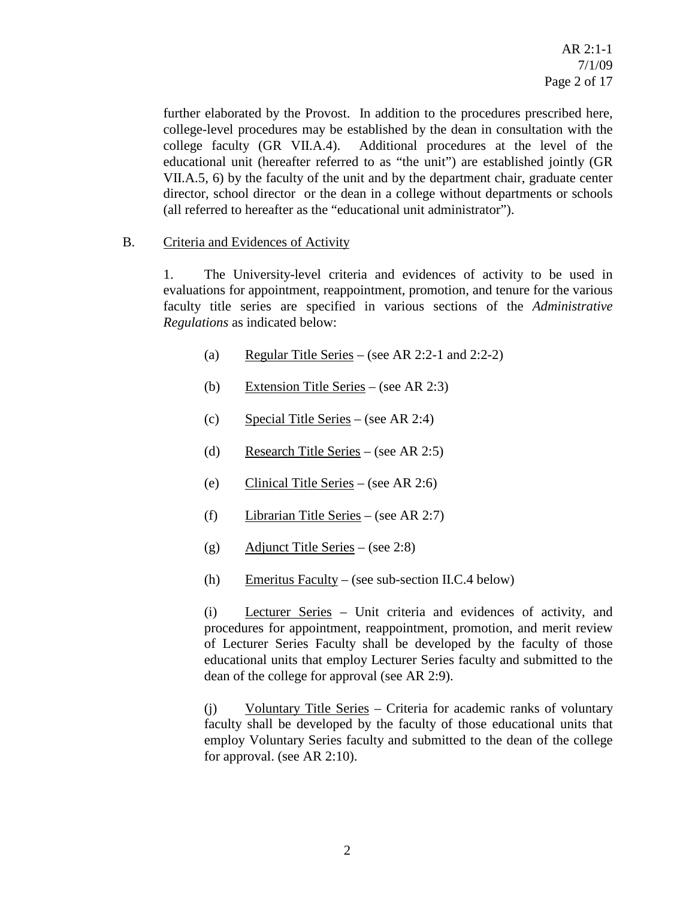further elaborated by the Provost. In addition to the procedures prescribed here, college-level procedures may be established by the dean in consultation with the college faculty (GR VII.A.4). Additional procedures at the level of the educational unit (hereafter referred to as "the unit") are established jointly (GR VII.A.5, 6) by the faculty of the unit and by the department chair, graduate center director, school director or the dean in a college without departments or schools (all referred to hereafter as the "educational unit administrator").

## B. Criteria and Evidences of Activity

1. The University-level criteria and evidences of activity to be used in evaluations for appointment, reappointment, promotion, and tenure for the various faculty title series are specified in various sections of the *Administrative Regulations* as indicated below:

- (a) Regular Title Series (see AR 2:2-1 and 2:2-2)
- (b) Extension Title Series (see AR 2:3)
- (c) Special Title Series (see AR 2:4)
- (d) Research Title Series (see AR 2:5)
- (e) Clinical Title Series (see AR 2:6)
- (f) Librarian Title Series (see AR 2:7)
- (g) Adjunct Title Series (see 2:8)
- (h) Emeritus Faculty (see sub-section II.C.4 below)

(i) Lecturer Series – Unit criteria and evidences of activity, and procedures for appointment, reappointment, promotion, and merit review of Lecturer Series Faculty shall be developed by the faculty of those educational units that employ Lecturer Series faculty and submitted to the dean of the college for approval (see AR 2:9).

(j) Voluntary Title Series – Criteria for academic ranks of voluntary faculty shall be developed by the faculty of those educational units that employ Voluntary Series faculty and submitted to the dean of the college for approval. (see AR 2:10).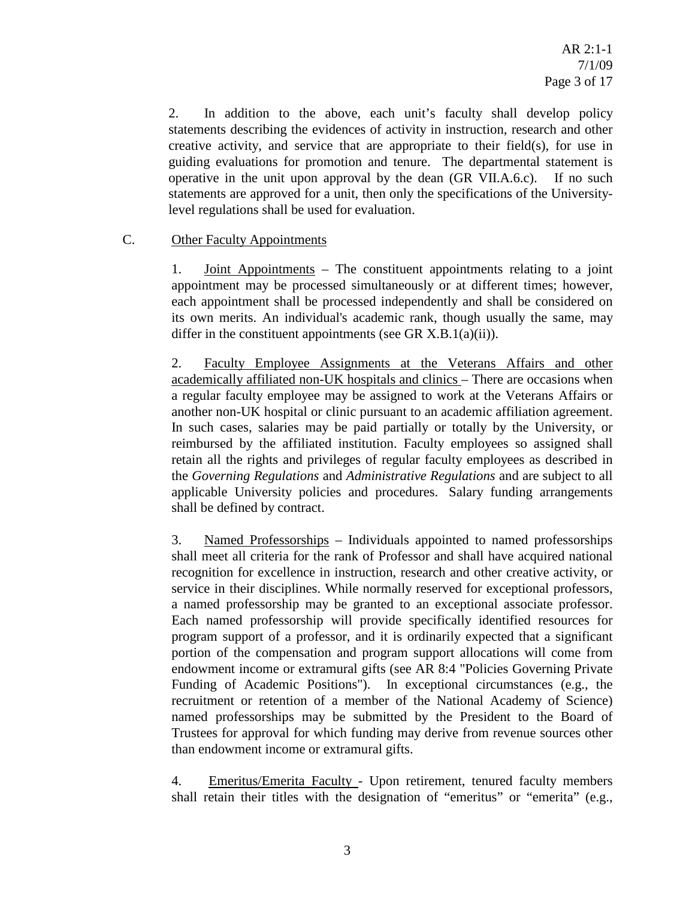2. In addition to the above, each unit's faculty shall develop policy statements describing the evidences of activity in instruction, research and other creative activity, and service that are appropriate to their field(s), for use in guiding evaluations for promotion and tenure. The departmental statement is operative in the unit upon approval by the dean (GR VII.A.6.c). If no such statements are approved for a unit, then only the specifications of the Universitylevel regulations shall be used for evaluation.

## C. Other Faculty Appointments

1. Joint Appointments – The constituent appointments relating to a joint appointment may be processed simultaneously or at different times; however, each appointment shall be processed independently and shall be considered on its own merits. An individual's academic rank, though usually the same, may differ in the constituent appointments (see GR X.B.1(a)(ii)).

2. Faculty Employee Assignments at the Veterans Affairs and other academically affiliated non-UK hospitals and clinics – There are occasions when a regular faculty employee may be assigned to work at the Veterans Affairs or another non-UK hospital or clinic pursuant to an academic affiliation agreement. In such cases, salaries may be paid partially or totally by the University, or reimbursed by the affiliated institution. Faculty employees so assigned shall retain all the rights and privileges of regular faculty employees as described in the *Governing Regulations* and *Administrative Regulations* and are subject to all applicable University policies and procedures. Salary funding arrangements shall be defined by contract.

3. Named Professorships – Individuals appointed to named professorships shall meet all criteria for the rank of Professor and shall have acquired national recognition for excellence in instruction, research and other creative activity, or service in their disciplines. While normally reserved for exceptional professors, a named professorship may be granted to an exceptional associate professor. Each named professorship will provide specifically identified resources for program support of a professor, and it is ordinarily expected that a significant portion of the compensation and program support allocations will come from endowment income or extramural gifts (see AR 8:4 "Policies Governing Private Funding of Academic Positions"). In exceptional circumstances (e.g., the recruitment or retention of a member of the National Academy of Science) named professorships may be submitted by the President to the Board of Trustees for approval for which funding may derive from revenue sources other than endowment income or extramural gifts.

4. Emeritus/Emerita Faculty - Upon retirement, tenured faculty members shall retain their titles with the designation of "emeritus" or "emerita" (e.g.,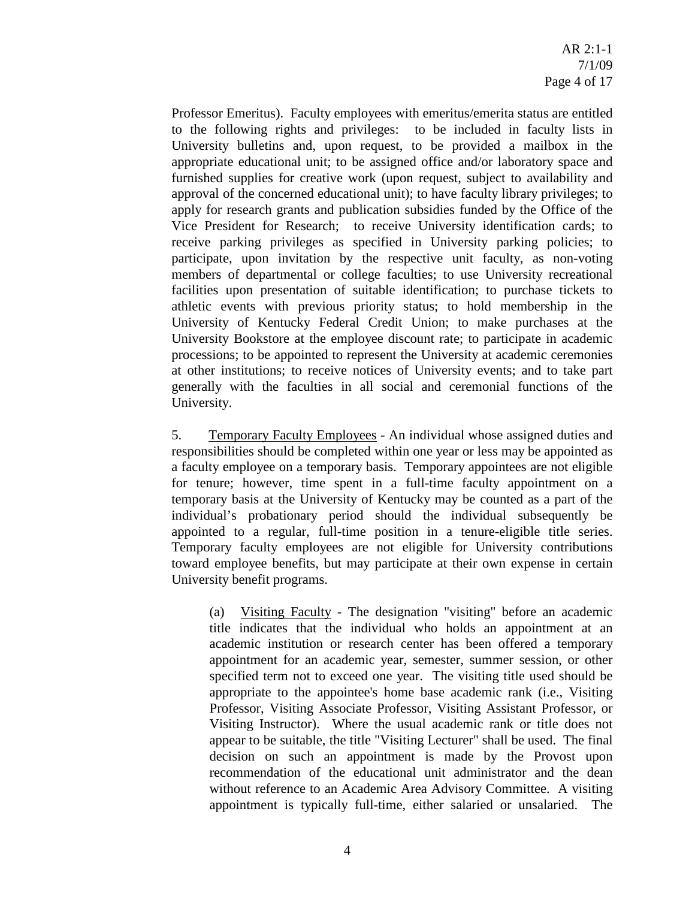Professor Emeritus). Faculty employees with emeritus/emerita status are entitled to the following rights and privileges: to be included in faculty lists in University bulletins and, upon request, to be provided a mailbox in the appropriate educational unit; to be assigned office and/or laboratory space and furnished supplies for creative work (upon request, subject to availability and approval of the concerned educational unit); to have faculty library privileges; to apply for research grants and publication subsidies funded by the Office of the Vice President for Research; to receive University identification cards; to receive parking privileges as specified in University parking policies; to participate, upon invitation by the respective unit faculty, as non-voting members of departmental or college faculties; to use University recreational facilities upon presentation of suitable identification; to purchase tickets to athletic events with previous priority status; to hold membership in the University of Kentucky Federal Credit Union; to make purchases at the University Bookstore at the employee discount rate; to participate in academic processions; to be appointed to represent the University at academic ceremonies at other institutions; to receive notices of University events; and to take part generally with the faculties in all social and ceremonial functions of the University.

5. Temporary Faculty Employees - An individual whose assigned duties and responsibilities should be completed within one year or less may be appointed as a faculty employee on a temporary basis. Temporary appointees are not eligible for tenure; however, time spent in a full-time faculty appointment on a temporary basis at the University of Kentucky may be counted as a part of the individual's probationary period should the individual subsequently be appointed to a regular, full-time position in a tenure-eligible title series. Temporary faculty employees are not eligible for University contributions toward employee benefits, but may participate at their own expense in certain University benefit programs.

(a) Visiting Faculty - The designation "visiting" before an academic title indicates that the individual who holds an appointment at an academic institution or research center has been offered a temporary appointment for an academic year, semester, summer session, or other specified term not to exceed one year. The visiting title used should be appropriate to the appointee's home base academic rank (i.e., Visiting Professor, Visiting Associate Professor, Visiting Assistant Professor, or Visiting Instructor). Where the usual academic rank or title does not appear to be suitable, the title "Visiting Lecturer" shall be used. The final decision on such an appointment is made by the Provost upon recommendation of the educational unit administrator and the dean without reference to an Academic Area Advisory Committee. A visiting appointment is typically full-time, either salaried or unsalaried. The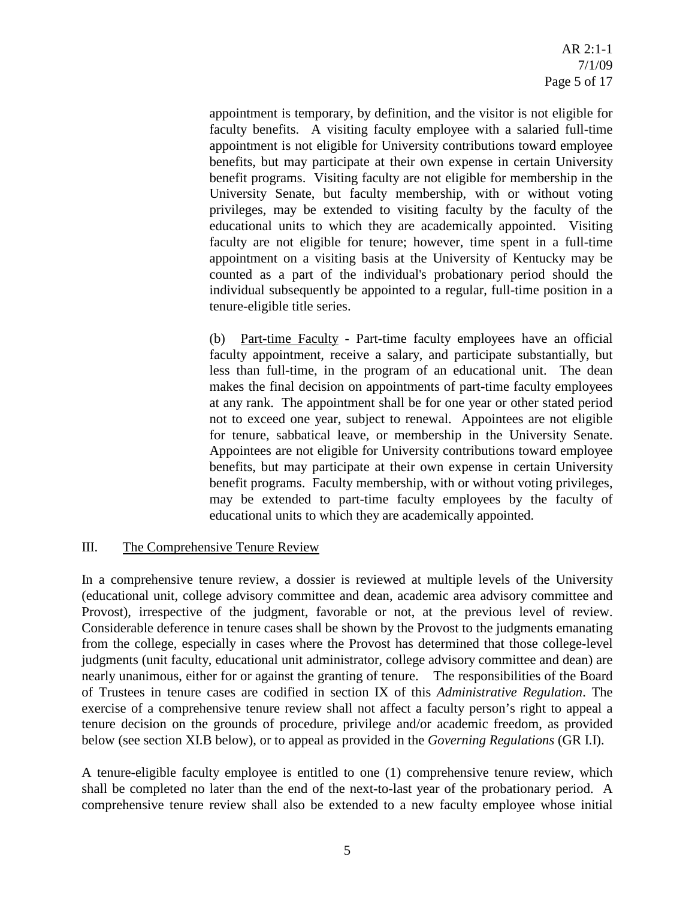appointment is temporary, by definition, and the visitor is not eligible for faculty benefits. A visiting faculty employee with a salaried full-time appointment is not eligible for University contributions toward employee benefits, but may participate at their own expense in certain University benefit programs. Visiting faculty are not eligible for membership in the University Senate, but faculty membership, with or without voting privileges, may be extended to visiting faculty by the faculty of the educational units to which they are academically appointed. Visiting faculty are not eligible for tenure; however, time spent in a full-time appointment on a visiting basis at the University of Kentucky may be counted as a part of the individual's probationary period should the individual subsequently be appointed to a regular, full-time position in a tenure-eligible title series.

(b) Part-time Faculty - Part-time faculty employees have an official faculty appointment, receive a salary, and participate substantially, but less than full-time, in the program of an educational unit. The dean makes the final decision on appointments of part-time faculty employees at any rank. The appointment shall be for one year or other stated period not to exceed one year, subject to renewal. Appointees are not eligible for tenure, sabbatical leave, or membership in the University Senate. Appointees are not eligible for University contributions toward employee benefits, but may participate at their own expense in certain University benefit programs. Faculty membership, with or without voting privileges, may be extended to part-time faculty employees by the faculty of educational units to which they are academically appointed.

## III. The Comprehensive Tenure Review

In a comprehensive tenure review, a dossier is reviewed at multiple levels of the University (educational unit, college advisory committee and dean, academic area advisory committee and Provost), irrespective of the judgment, favorable or not, at the previous level of review. Considerable deference in tenure cases shall be shown by the Provost to the judgments emanating from the college, especially in cases where the Provost has determined that those college-level judgments (unit faculty, educational unit administrator, college advisory committee and dean) are nearly unanimous, either for or against the granting of tenure. The responsibilities of the Board of Trustees in tenure cases are codified in section IX of this *Administrative Regulation*. The exercise of a comprehensive tenure review shall not affect a faculty person's right to appeal a tenure decision on the grounds of procedure, privilege and/or academic freedom, as provided below (see section XI.B below), or to appeal as provided in the *Governing Regulations* (GR I.I).

A tenure-eligible faculty employee is entitled to one (1) comprehensive tenure review, which shall be completed no later than the end of the next-to-last year of the probationary period. A comprehensive tenure review shall also be extended to a new faculty employee whose initial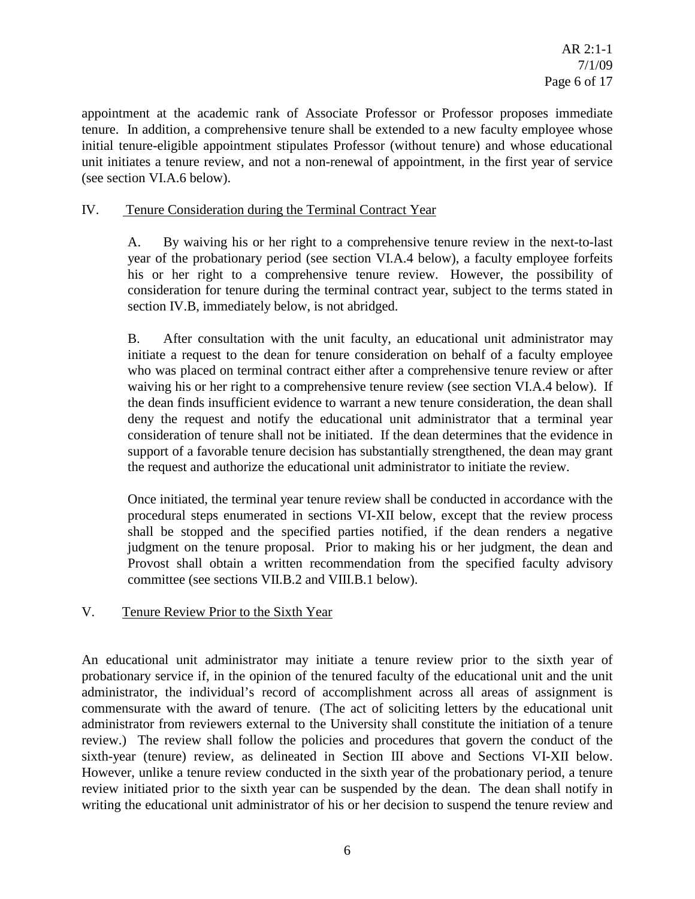appointment at the academic rank of Associate Professor or Professor proposes immediate tenure. In addition, a comprehensive tenure shall be extended to a new faculty employee whose initial tenure-eligible appointment stipulates Professor (without tenure) and whose educational unit initiates a tenure review, and not a non-renewal of appointment, in the first year of service (see section VI.A.6 below).

## IV. Tenure Consideration during the Terminal Contract Year

A. By waiving his or her right to a comprehensive tenure review in the next-to-last year of the probationary period (see section VI.A.4 below), a faculty employee forfeits his or her right to a comprehensive tenure review. However, the possibility of consideration for tenure during the terminal contract year, subject to the terms stated in section IV.B, immediately below, is not abridged.

B. After consultation with the unit faculty, an educational unit administrator may initiate a request to the dean for tenure consideration on behalf of a faculty employee who was placed on terminal contract either after a comprehensive tenure review or after waiving his or her right to a comprehensive tenure review (see section VI.A.4 below). If the dean finds insufficient evidence to warrant a new tenure consideration, the dean shall deny the request and notify the educational unit administrator that a terminal year consideration of tenure shall not be initiated. If the dean determines that the evidence in support of a favorable tenure decision has substantially strengthened, the dean may grant the request and authorize the educational unit administrator to initiate the review.

Once initiated, the terminal year tenure review shall be conducted in accordance with the procedural steps enumerated in sections VI-XII below, except that the review process shall be stopped and the specified parties notified, if the dean renders a negative judgment on the tenure proposal. Prior to making his or her judgment, the dean and Provost shall obtain a written recommendation from the specified faculty advisory committee (see sections VII.B.2 and VIII.B.1 below).

#### V. Tenure Review Prior to the Sixth Year

An educational unit administrator may initiate a tenure review prior to the sixth year of probationary service if, in the opinion of the tenured faculty of the educational unit and the unit administrator, the individual's record of accomplishment across all areas of assignment is commensurate with the award of tenure. (The act of soliciting letters by the educational unit administrator from reviewers external to the University shall constitute the initiation of a tenure review.) The review shall follow the policies and procedures that govern the conduct of the sixth-year (tenure) review, as delineated in Section III above and Sections VI-XII below. However, unlike a tenure review conducted in the sixth year of the probationary period, a tenure review initiated prior to the sixth year can be suspended by the dean. The dean shall notify in writing the educational unit administrator of his or her decision to suspend the tenure review and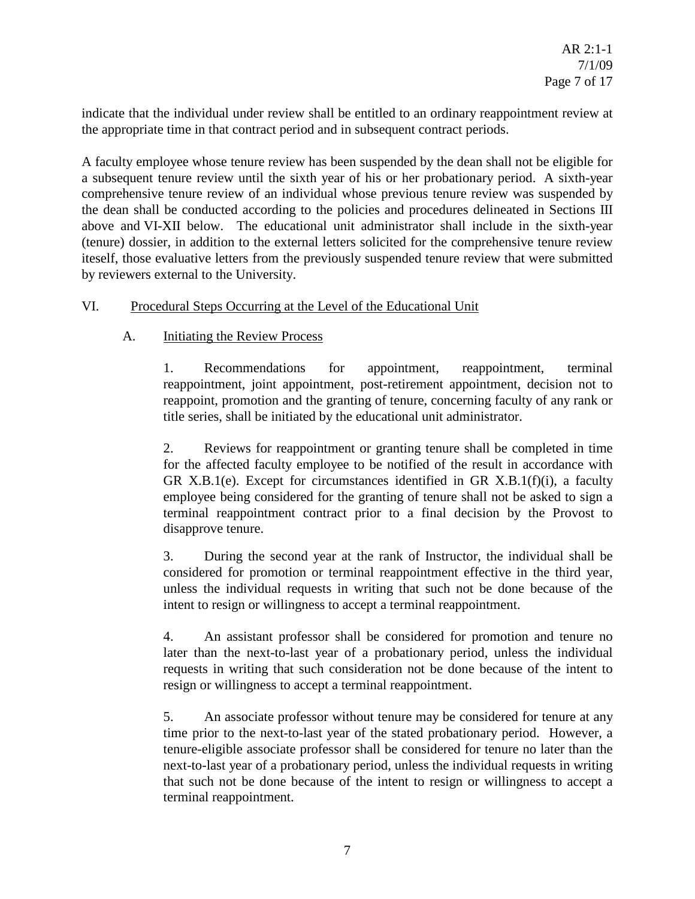indicate that the individual under review shall be entitled to an ordinary reappointment review at the appropriate time in that contract period and in subsequent contract periods.

A faculty employee whose tenure review has been suspended by the dean shall not be eligible for a subsequent tenure review until the sixth year of his or her probationary period. A sixth-year comprehensive tenure review of an individual whose previous tenure review was suspended by the dean shall be conducted according to the policies and procedures delineated in Sections III above and VI-XII below. The educational unit administrator shall include in the sixth-year (tenure) dossier, in addition to the external letters solicited for the comprehensive tenure review iteself, those evaluative letters from the previously suspended tenure review that were submitted by reviewers external to the University.

## VI. Procedural Steps Occurring at the Level of the Educational Unit

## A. Initiating the Review Process

1. Recommendations for appointment, reappointment, terminal reappointment, joint appointment, post-retirement appointment, decision not to reappoint, promotion and the granting of tenure, concerning faculty of any rank or title series, shall be initiated by the educational unit administrator.

2. Reviews for reappointment or granting tenure shall be completed in time for the affected faculty employee to be notified of the result in accordance with GR X.B.1(e). Except for circumstances identified in GR X.B.1(f)(i), a faculty employee being considered for the granting of tenure shall not be asked to sign a terminal reappointment contract prior to a final decision by the Provost to disapprove tenure.

3. During the second year at the rank of Instructor, the individual shall be considered for promotion or terminal reappointment effective in the third year, unless the individual requests in writing that such not be done because of the intent to resign or willingness to accept a terminal reappointment.

4. An assistant professor shall be considered for promotion and tenure no later than the next-to-last year of a probationary period, unless the individual requests in writing that such consideration not be done because of the intent to resign or willingness to accept a terminal reappointment.

5. An associate professor without tenure may be considered for tenure at any time prior to the next-to-last year of the stated probationary period. However, a tenure-eligible associate professor shall be considered for tenure no later than the next-to-last year of a probationary period, unless the individual requests in writing that such not be done because of the intent to resign or willingness to accept a terminal reappointment.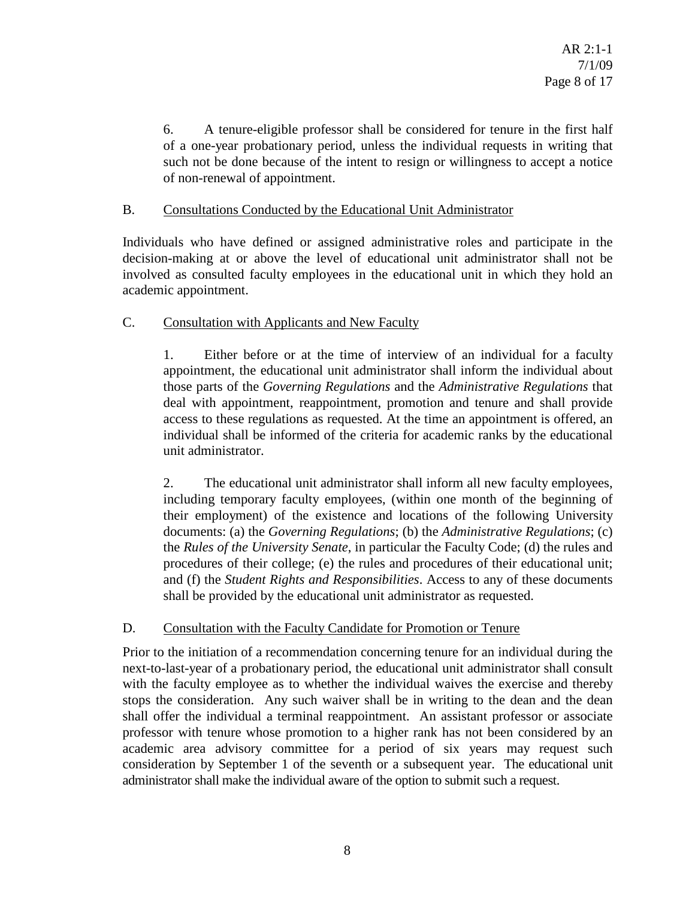6. A tenure-eligible professor shall be considered for tenure in the first half of a one-year probationary period, unless the individual requests in writing that such not be done because of the intent to resign or willingness to accept a notice of non-renewal of appointment.

## B. Consultations Conducted by the Educational Unit Administrator

Individuals who have defined or assigned administrative roles and participate in the decision-making at or above the level of educational unit administrator shall not be involved as consulted faculty employees in the educational unit in which they hold an academic appointment.

## C. Consultation with Applicants and New Faculty

1. Either before or at the time of interview of an individual for a faculty appointment, the educational unit administrator shall inform the individual about those parts of the *Governing Regulations* and the *Administrative Regulations* that deal with appointment, reappointment, promotion and tenure and shall provide access to these regulations as requested. At the time an appointment is offered, an individual shall be informed of the criteria for academic ranks by the educational unit administrator.

2. The educational unit administrator shall inform all new faculty employees, including temporary faculty employees, (within one month of the beginning of their employment) of the existence and locations of the following University documents: (a) the *Governing Regulations*; (b) the *Administrative Regulations*; (c) the *Rules of the University Senate*, in particular the Faculty Code; (d) the rules and procedures of their college; (e) the rules and procedures of their educational unit; and (f) the *Student Rights and Responsibilities*. Access to any of these documents shall be provided by the educational unit administrator as requested.

#### D. Consultation with the Faculty Candidate for Promotion or Tenure

Prior to the initiation of a recommendation concerning tenure for an individual during the next-to-last-year of a probationary period, the educational unit administrator shall consult with the faculty employee as to whether the individual waives the exercise and thereby stops the consideration. Any such waiver shall be in writing to the dean and the dean shall offer the individual a terminal reappointment. An assistant professor or associate professor with tenure whose promotion to a higher rank has not been considered by an academic area advisory committee for a period of six years may request such consideration by September 1 of the seventh or a subsequent year. The educational unit administrator shall make the individual aware of the option to submit such a request.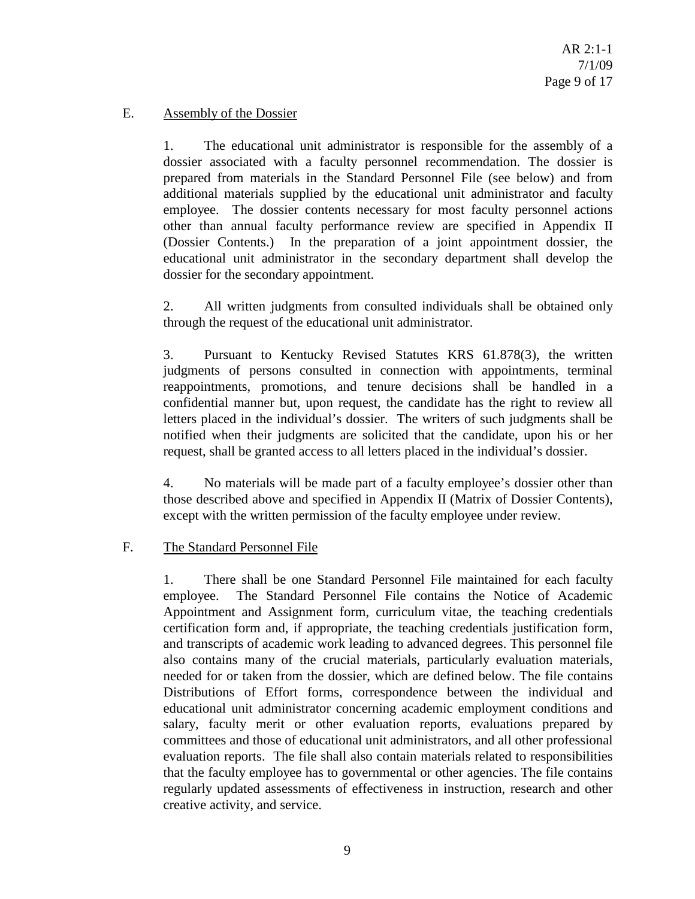#### E. Assembly of the Dossier

1. The educational unit administrator is responsible for the assembly of a dossier associated with a faculty personnel recommendation. The dossier is prepared from materials in the Standard Personnel File (see below) and from additional materials supplied by the educational unit administrator and faculty employee. The dossier contents necessary for most faculty personnel actions other than annual faculty performance review are specified in Appendix II (Dossier Contents.) In the preparation of a joint appointment dossier, the educational unit administrator in the secondary department shall develop the dossier for the secondary appointment.

2. All written judgments from consulted individuals shall be obtained only through the request of the educational unit administrator.

3. Pursuant to Kentucky Revised Statutes KRS 61.878(3), the written judgments of persons consulted in connection with appointments, terminal reappointments, promotions, and tenure decisions shall be handled in a confidential manner but, upon request, the candidate has the right to review all letters placed in the individual's dossier. The writers of such judgments shall be notified when their judgments are solicited that the candidate, upon his or her request, shall be granted access to all letters placed in the individual's dossier.

4. No materials will be made part of a faculty employee's dossier other than those described above and specified in Appendix II (Matrix of Dossier Contents), except with the written permission of the faculty employee under review.

#### F. The Standard Personnel File

1. There shall be one Standard Personnel File maintained for each faculty employee. The Standard Personnel File contains the Notice of Academic Appointment and Assignment form, curriculum vitae, the teaching credentials certification form and, if appropriate, the teaching credentials justification form, and transcripts of academic work leading to advanced degrees. This personnel file also contains many of the crucial materials, particularly evaluation materials, needed for or taken from the dossier, which are defined below. The file contains Distributions of Effort forms, correspondence between the individual and educational unit administrator concerning academic employment conditions and salary, faculty merit or other evaluation reports, evaluations prepared by committees and those of educational unit administrators, and all other professional evaluation reports. The file shall also contain materials related to responsibilities that the faculty employee has to governmental or other agencies. The file contains regularly updated assessments of effectiveness in instruction, research and other creative activity, and service.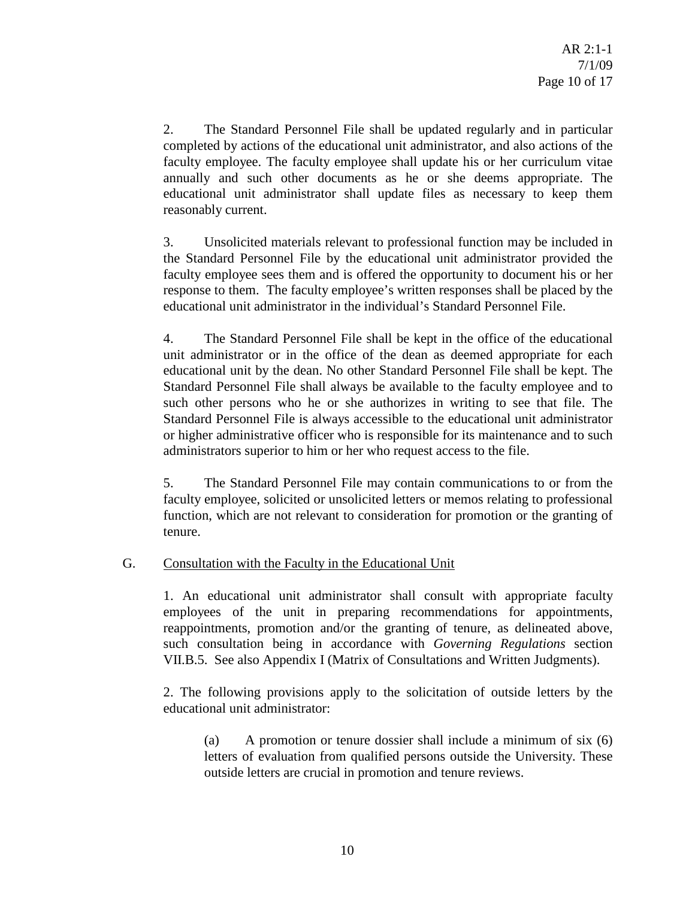2. The Standard Personnel File shall be updated regularly and in particular completed by actions of the educational unit administrator, and also actions of the faculty employee. The faculty employee shall update his or her curriculum vitae annually and such other documents as he or she deems appropriate. The educational unit administrator shall update files as necessary to keep them reasonably current.

3. Unsolicited materials relevant to professional function may be included in the Standard Personnel File by the educational unit administrator provided the faculty employee sees them and is offered the opportunity to document his or her response to them. The faculty employee's written responses shall be placed by the educational unit administrator in the individual's Standard Personnel File.

4. The Standard Personnel File shall be kept in the office of the educational unit administrator or in the office of the dean as deemed appropriate for each educational unit by the dean. No other Standard Personnel File shall be kept. The Standard Personnel File shall always be available to the faculty employee and to such other persons who he or she authorizes in writing to see that file. The Standard Personnel File is always accessible to the educational unit administrator or higher administrative officer who is responsible for its maintenance and to such administrators superior to him or her who request access to the file.

5. The Standard Personnel File may contain communications to or from the faculty employee, solicited or unsolicited letters or memos relating to professional function, which are not relevant to consideration for promotion or the granting of tenure.

#### G. Consultation with the Faculty in the Educational Unit

1. An educational unit administrator shall consult with appropriate faculty employees of the unit in preparing recommendations for appointments, reappointments, promotion and/or the granting of tenure, as delineated above, such consultation being in accordance with *Governing Regulations* section VII.B.5. See also Appendix I (Matrix of Consultations and Written Judgments).

2. The following provisions apply to the solicitation of outside letters by the educational unit administrator:

(a) A promotion or tenure dossier shall include a minimum of six (6) letters of evaluation from qualified persons outside the University. These outside letters are crucial in promotion and tenure reviews.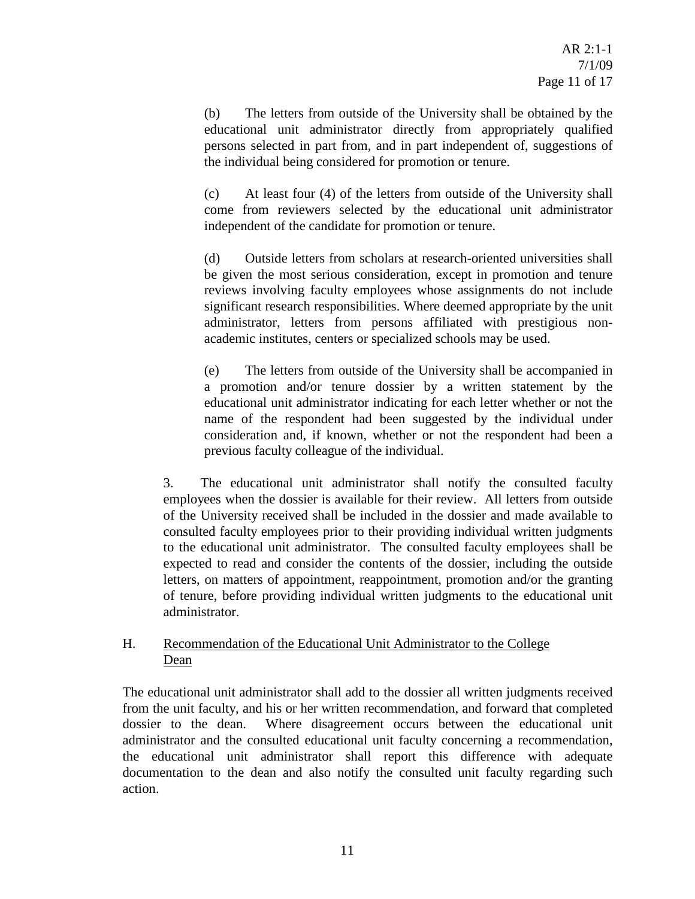(b) The letters from outside of the University shall be obtained by the educational unit administrator directly from appropriately qualified persons selected in part from, and in part independent of, suggestions of the individual being considered for promotion or tenure.

(c) At least four (4) of the letters from outside of the University shall come from reviewers selected by the educational unit administrator independent of the candidate for promotion or tenure.

(d) Outside letters from scholars at research-oriented universities shall be given the most serious consideration, except in promotion and tenure reviews involving faculty employees whose assignments do not include significant research responsibilities. Where deemed appropriate by the unit administrator, letters from persons affiliated with prestigious nonacademic institutes, centers or specialized schools may be used.

(e) The letters from outside of the University shall be accompanied in a promotion and/or tenure dossier by a written statement by the educational unit administrator indicating for each letter whether or not the name of the respondent had been suggested by the individual under consideration and, if known, whether or not the respondent had been a previous faculty colleague of the individual.

3. The educational unit administrator shall notify the consulted faculty employees when the dossier is available for their review. All letters from outside of the University received shall be included in the dossier and made available to consulted faculty employees prior to their providing individual written judgments to the educational unit administrator. The consulted faculty employees shall be expected to read and consider the contents of the dossier, including the outside letters, on matters of appointment, reappointment, promotion and/or the granting of tenure, before providing individual written judgments to the educational unit administrator.

## H. Recommendation of the Educational Unit Administrator to the College Dean

The educational unit administrator shall add to the dossier all written judgments received from the unit faculty, and his or her written recommendation, and forward that completed dossier to the dean. Where disagreement occurs between the educational unit administrator and the consulted educational unit faculty concerning a recommendation, the educational unit administrator shall report this difference with adequate documentation to the dean and also notify the consulted unit faculty regarding such action.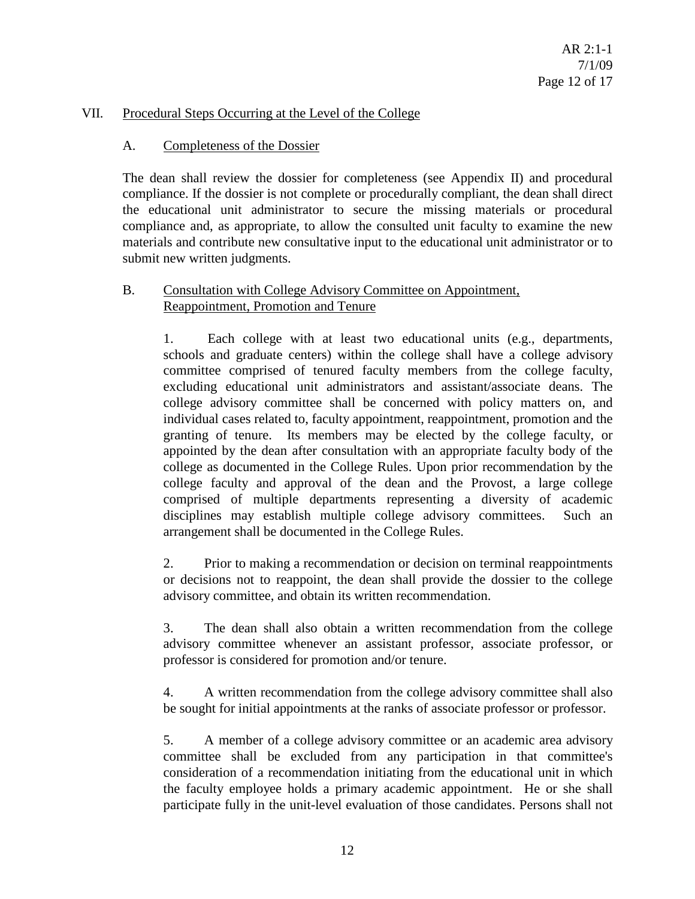#### VII. Procedural Steps Occurring at the Level of the College

#### A. Completeness of the Dossier

The dean shall review the dossier for completeness (see Appendix II) and procedural compliance. If the dossier is not complete or procedurally compliant, the dean shall direct the educational unit administrator to secure the missing materials or procedural compliance and, as appropriate, to allow the consulted unit faculty to examine the new materials and contribute new consultative input to the educational unit administrator or to submit new written judgments.

#### B. Consultation with College Advisory Committee on Appointment, Reappointment, Promotion and Tenure

1. Each college with at least two educational units (e.g., departments, schools and graduate centers) within the college shall have a college advisory committee comprised of tenured faculty members from the college faculty, excluding educational unit administrators and assistant/associate deans. The college advisory committee shall be concerned with policy matters on, and individual cases related to, faculty appointment, reappointment, promotion and the granting of tenure. Its members may be elected by the college faculty, or appointed by the dean after consultation with an appropriate faculty body of the college as documented in the College Rules. Upon prior recommendation by the college faculty and approval of the dean and the Provost, a large college comprised of multiple departments representing a diversity of academic disciplines may establish multiple college advisory committees. Such an arrangement shall be documented in the College Rules.

2. Prior to making a recommendation or decision on terminal reappointments or decisions not to reappoint, the dean shall provide the dossier to the college advisory committee, and obtain its written recommendation.

3. The dean shall also obtain a written recommendation from the college advisory committee whenever an assistant professor, associate professor, or professor is considered for promotion and/or tenure.

4. A written recommendation from the college advisory committee shall also be sought for initial appointments at the ranks of associate professor or professor.

5. A member of a college advisory committee or an academic area advisory committee shall be excluded from any participation in that committee's consideration of a recommendation initiating from the educational unit in which the faculty employee holds a primary academic appointment. He or she shall participate fully in the unit-level evaluation of those candidates. Persons shall not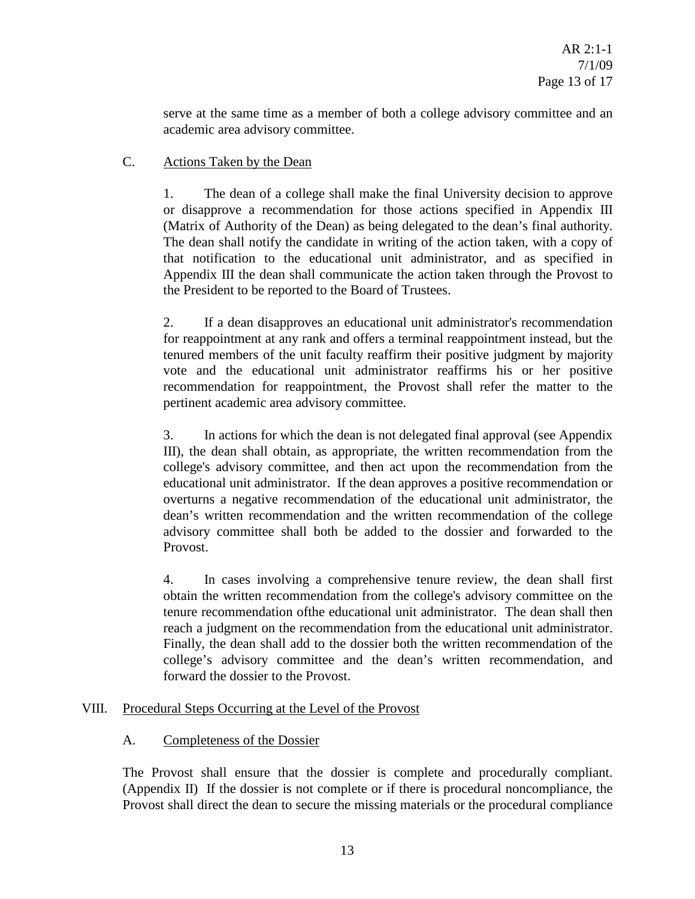serve at the same time as a member of both a college advisory committee and an academic area advisory committee.

## C. Actions Taken by the Dean

1. The dean of a college shall make the final University decision to approve or disapprove a recommendation for those actions specified in Appendix III (Matrix of Authority of the Dean) as being delegated to the dean's final authority. The dean shall notify the candidate in writing of the action taken, with a copy of that notification to the educational unit administrator, and as specified in Appendix III the dean shall communicate the action taken through the Provost to the President to be reported to the Board of Trustees.

2. If a dean disapproves an educational unit administrator's recommendation for reappointment at any rank and offers a terminal reappointment instead, but the tenured members of the unit faculty reaffirm their positive judgment by majority vote and the educational unit administrator reaffirms his or her positive recommendation for reappointment, the Provost shall refer the matter to the pertinent academic area advisory committee.

3. In actions for which the dean is not delegated final approval (see Appendix III), the dean shall obtain, as appropriate, the written recommendation from the college's advisory committee, and then act upon the recommendation from the educational unit administrator. If the dean approves a positive recommendation or overturns a negative recommendation of the educational unit administrator, the dean's written recommendation and the written recommendation of the college advisory committee shall both be added to the dossier and forwarded to the Provost.

4. In cases involving a comprehensive tenure review, the dean shall first obtain the written recommendation from the college's advisory committee on the tenure recommendation ofthe educational unit administrator. The dean shall then reach a judgment on the recommendation from the educational unit administrator. Finally, the dean shall add to the dossier both the written recommendation of the college's advisory committee and the dean's written recommendation, and forward the dossier to the Provost.

## VIII. Procedural Steps Occurring at the Level of the Provost

## A. Completeness of the Dossier

The Provost shall ensure that the dossier is complete and procedurally compliant. (Appendix II) If the dossier is not complete or if there is procedural noncompliance, the Provost shall direct the dean to secure the missing materials or the procedural compliance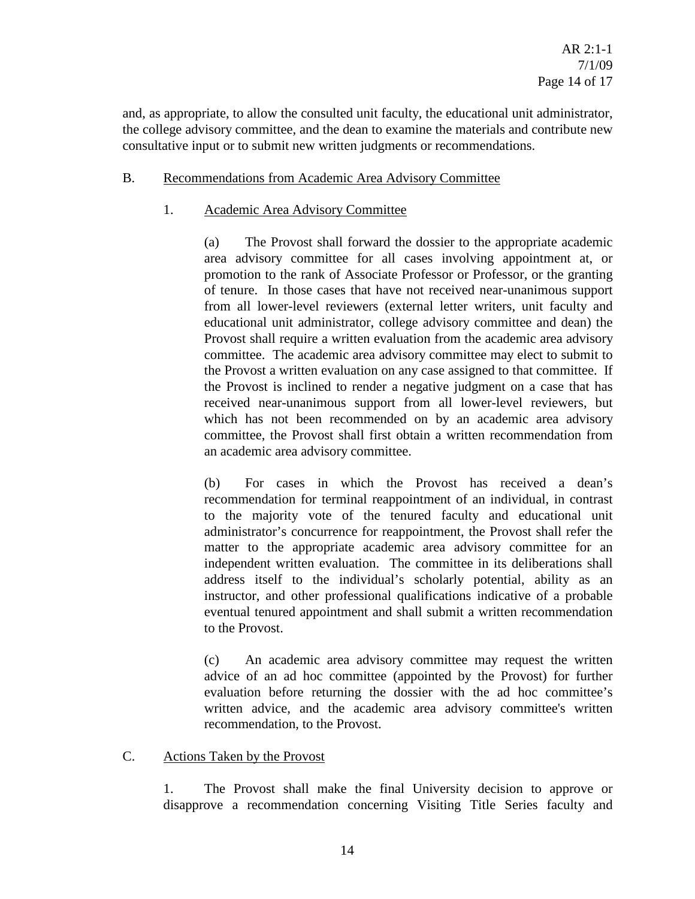and, as appropriate, to allow the consulted unit faculty, the educational unit administrator, the college advisory committee, and the dean to examine the materials and contribute new consultative input or to submit new written judgments or recommendations.

## B. Recommendations from Academic Area Advisory Committee

## 1. Academic Area Advisory Committee

(a) The Provost shall forward the dossier to the appropriate academic area advisory committee for all cases involving appointment at, or promotion to the rank of Associate Professor or Professor, or the granting of tenure. In those cases that have not received near-unanimous support from all lower-level reviewers (external letter writers, unit faculty and educational unit administrator, college advisory committee and dean) the Provost shall require a written evaluation from the academic area advisory committee. The academic area advisory committee may elect to submit to the Provost a written evaluation on any case assigned to that committee. If the Provost is inclined to render a negative judgment on a case that has received near-unanimous support from all lower-level reviewers, but which has not been recommended on by an academic area advisory committee, the Provost shall first obtain a written recommendation from an academic area advisory committee.

(b) For cases in which the Provost has received a dean's recommendation for terminal reappointment of an individual, in contrast to the majority vote of the tenured faculty and educational unit administrator's concurrence for reappointment, the Provost shall refer the matter to the appropriate academic area advisory committee for an independent written evaluation. The committee in its deliberations shall address itself to the individual's scholarly potential, ability as an instructor, and other professional qualifications indicative of a probable eventual tenured appointment and shall submit a written recommendation to the Provost.

(c) An academic area advisory committee may request the written advice of an ad hoc committee (appointed by the Provost) for further evaluation before returning the dossier with the ad hoc committee's written advice, and the academic area advisory committee's written recommendation, to the Provost.

#### C. Actions Taken by the Provost

1. The Provost shall make the final University decision to approve or disapprove a recommendation concerning Visiting Title Series faculty and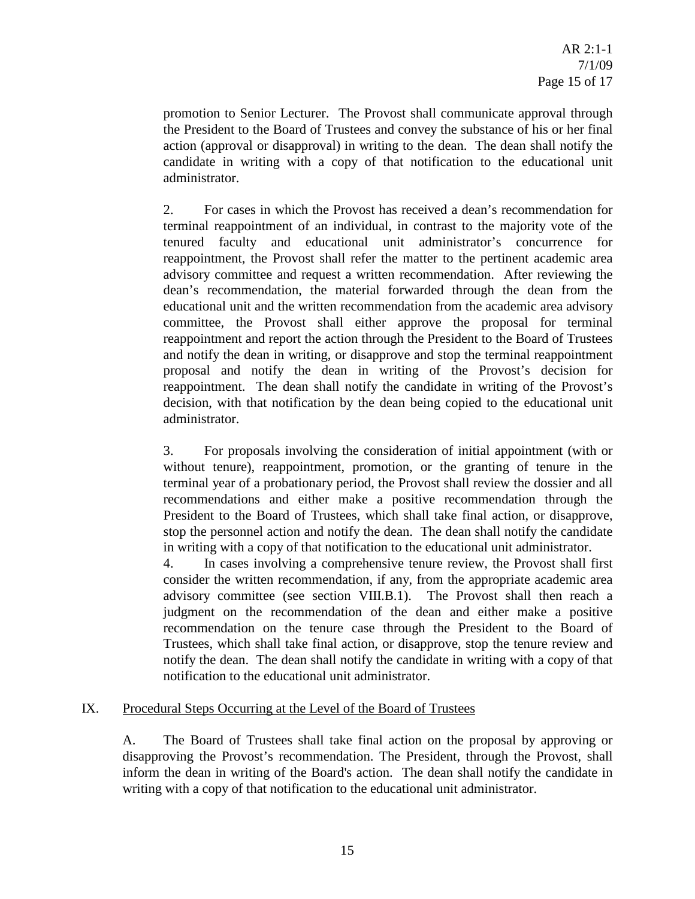promotion to Senior Lecturer. The Provost shall communicate approval through the President to the Board of Trustees and convey the substance of his or her final action (approval or disapproval) in writing to the dean. The dean shall notify the candidate in writing with a copy of that notification to the educational unit administrator.

2. For cases in which the Provost has received a dean's recommendation for terminal reappointment of an individual, in contrast to the majority vote of the tenured faculty and educational unit administrator's concurrence for reappointment, the Provost shall refer the matter to the pertinent academic area advisory committee and request a written recommendation. After reviewing the dean's recommendation, the material forwarded through the dean from the educational unit and the written recommendation from the academic area advisory committee, the Provost shall either approve the proposal for terminal reappointment and report the action through the President to the Board of Trustees and notify the dean in writing, or disapprove and stop the terminal reappointment proposal and notify the dean in writing of the Provost's decision for reappointment. The dean shall notify the candidate in writing of the Provost's decision, with that notification by the dean being copied to the educational unit administrator.

3. For proposals involving the consideration of initial appointment (with or without tenure), reappointment, promotion, or the granting of tenure in the terminal year of a probationary period, the Provost shall review the dossier and all recommendations and either make a positive recommendation through the President to the Board of Trustees, which shall take final action, or disapprove, stop the personnel action and notify the dean. The dean shall notify the candidate in writing with a copy of that notification to the educational unit administrator.

4. In cases involving a comprehensive tenure review, the Provost shall first consider the written recommendation, if any, from the appropriate academic area advisory committee (see section VIII.B.1). The Provost shall then reach a judgment on the recommendation of the dean and either make a positive recommendation on the tenure case through the President to the Board of Trustees, which shall take final action, or disapprove, stop the tenure review and notify the dean. The dean shall notify the candidate in writing with a copy of that notification to the educational unit administrator.

## IX. Procedural Steps Occurring at the Level of the Board of Trustees

A. The Board of Trustees shall take final action on the proposal by approving or disapproving the Provost's recommendation. The President, through the Provost, shall inform the dean in writing of the Board's action. The dean shall notify the candidate in writing with a copy of that notification to the educational unit administrator.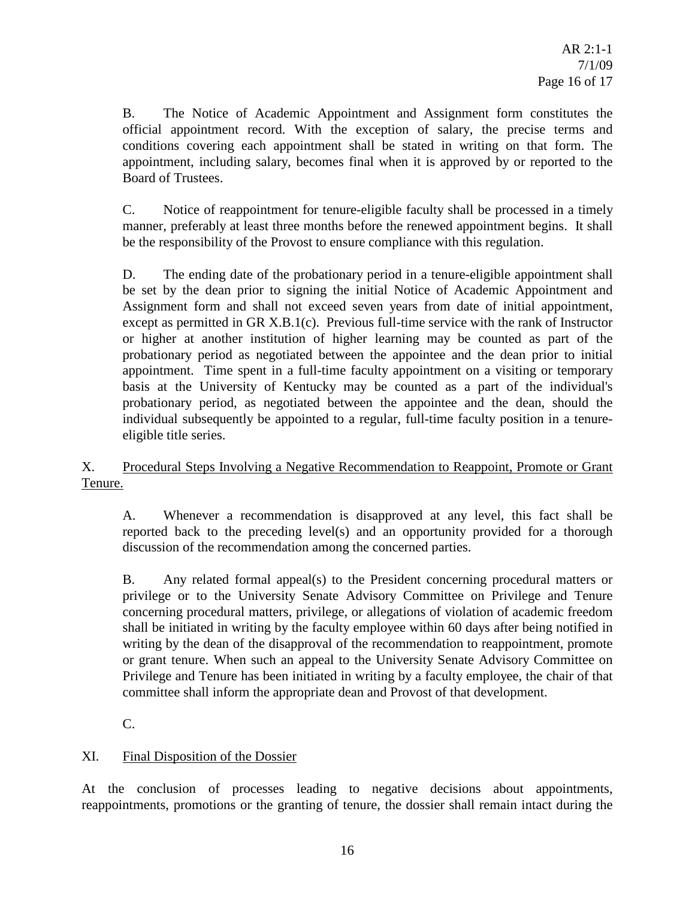B. The Notice of Academic Appointment and Assignment form constitutes the official appointment record. With the exception of salary, the precise terms and conditions covering each appointment shall be stated in writing on that form. The appointment, including salary, becomes final when it is approved by or reported to the Board of Trustees.

C. Notice of reappointment for tenure-eligible faculty shall be processed in a timely manner, preferably at least three months before the renewed appointment begins. It shall be the responsibility of the Provost to ensure compliance with this regulation.

D. The ending date of the probationary period in a tenure-eligible appointment shall be set by the dean prior to signing the initial Notice of Academic Appointment and Assignment form and shall not exceed seven years from date of initial appointment, except as permitted in GR X.B.1(c). Previous full-time service with the rank of Instructor or higher at another institution of higher learning may be counted as part of the probationary period as negotiated between the appointee and the dean prior to initial appointment. Time spent in a full-time faculty appointment on a visiting or temporary basis at the University of Kentucky may be counted as a part of the individual's probationary period, as negotiated between the appointee and the dean, should the individual subsequently be appointed to a regular, full-time faculty position in a tenureeligible title series.

## X. Procedural Steps Involving a Negative Recommendation to Reappoint, Promote or Grant Tenure.

A. Whenever a recommendation is disapproved at any level, this fact shall be reported back to the preceding level(s) and an opportunity provided for a thorough discussion of the recommendation among the concerned parties.

B. Any related formal appeal(s) to the President concerning procedural matters or privilege or to the University Senate Advisory Committee on Privilege and Tenure concerning procedural matters, privilege, or allegations of violation of academic freedom shall be initiated in writing by the faculty employee within 60 days after being notified in writing by the dean of the disapproval of the recommendation to reappointment, promote or grant tenure. When such an appeal to the University Senate Advisory Committee on Privilege and Tenure has been initiated in writing by a faculty employee, the chair of that committee shall inform the appropriate dean and Provost of that development.

C.

# XI. Final Disposition of the Dossier

At the conclusion of processes leading to negative decisions about appointments, reappointments, promotions or the granting of tenure, the dossier shall remain intact during the